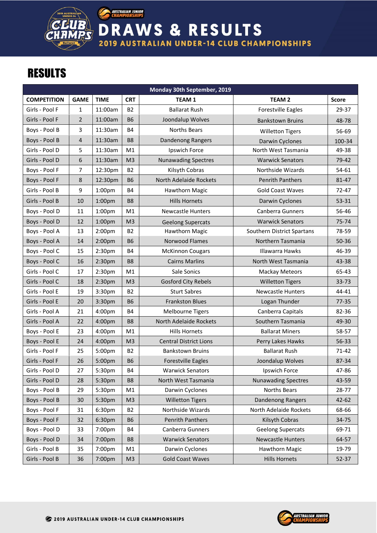

**AUSTRALIAN JUNIOR**<br>CHAMPIONSHIPS

**DRAWS & RESULTS 2019 AUSTRALIAN UNDER-14 CLUB CHAMPIONSHIPS** 

## **RESULTS**

|                    |                |                    |                | Monday 30th September, 2019   |                            |              |
|--------------------|----------------|--------------------|----------------|-------------------------------|----------------------------|--------------|
| <b>COMPETITION</b> | <b>GAME</b>    | <b>TIME</b>        | <b>CRT</b>     | <b>TEAM 1</b>                 | <b>TEAM 2</b>              | <b>Score</b> |
| Girls - Pool F     | $\mathbf{1}$   | 11:00am            | <b>B2</b>      | <b>Ballarat Rush</b>          | <b>Forestville Eagles</b>  | 29-37        |
| Girls - Pool F     | $\overline{2}$ | 11:00am            | <b>B6</b>      | Joondalup Wolves              | <b>Bankstown Bruins</b>    | 48-78        |
| Boys - Pool B      | 3              | 11:30am            | <b>B4</b>      | Norths Bears                  | <b>Willetton Tigers</b>    | 56-69        |
| Boys - Pool B      | $\overline{4}$ | 11:30am            | B <sub>8</sub> | <b>Dandenong Rangers</b>      | Darwin Cyclones            | 100-34       |
| Girls - Pool D     | 5              | 11:30am            | M1             | Ipswich Force                 | North West Tasmania        | 49-38        |
| Girls - Pool D     | 6              | 11:30am            | M <sub>3</sub> | <b>Nunawading Spectres</b>    | <b>Warwick Senators</b>    | 79-42        |
| Boys - Pool F      | 7              | 12:30pm            | <b>B2</b>      | Kilsyth Cobras                | Northside Wizards          | 54-61        |
| Boys - Pool F      | 8              | 12:30pm            | <b>B6</b>      | North Adelaide Rockets        | <b>Penrith Panthers</b>    | 81-47        |
| Girls - Pool B     | 9              | 1:00 <sub>pm</sub> | <b>B4</b>      | <b>Hawthorn Magic</b>         | <b>Gold Coast Waves</b>    | $72 - 47$    |
| Girls - Pool B     | 10             | 1:00 <sub>pm</sub> | B <sub>8</sub> | <b>Hills Hornets</b>          | Darwin Cyclones            | 53-31        |
| Boys - Pool D      | 11             | 1:00 <sub>pm</sub> | M1             | <b>Newcastle Hunters</b>      | Canberra Gunners           | 56-46        |
| Boys - Pool D      | 12             | 1:00 <sub>pm</sub> | M <sub>3</sub> | <b>Geelong Supercats</b>      | <b>Warwick Senators</b>    | 75-74        |
| Boys - Pool A      | 13             | 2:00 <sub>pm</sub> | <b>B2</b>      | Hawthorn Magic                | Southern District Spartans | 78-59        |
| Boys - Pool A      | 14             | 2:00 <sub>pm</sub> | <b>B6</b>      | Norwood Flames                | Northern Tasmania          | 50-36        |
| Boys - Pool C      | 15             | 2:30 <sub>pm</sub> | B4             | <b>McKinnon Cougars</b>       | <b>Illawarra Hawks</b>     | 46-39        |
| Boys - Pool C      | 16             | 2:30 <sub>pm</sub> | <b>B8</b>      | <b>Cairns Marlins</b>         | North West Tasmania        | 43-38        |
| Girls - Pool C     | 17             | 2:30 <sub>pm</sub> | M1             | Sale Sonics                   | <b>Mackay Meteors</b>      | 65-43        |
| Girls - Pool C     | 18             | 2:30 <sub>pm</sub> | M <sub>3</sub> | <b>Gosford City Rebels</b>    | <b>Willetton Tigers</b>    | 33-73        |
| Girls - Pool E     | 19             | 3:30pm             | <b>B2</b>      | <b>Sturt Sabres</b>           | <b>Newcastle Hunters</b>   | 44-41        |
| Girls - Pool E     | 20             | 3:30pm             | <b>B6</b>      | <b>Frankston Blues</b>        | Logan Thunder              | $77 - 35$    |
| Girls - Pool A     | 21             | 4:00pm             | <b>B4</b>      | <b>Melbourne Tigers</b>       | Canberra Capitals          | 82-36        |
| Girls - Pool A     | 22             | 4:00pm             | B <sub>8</sub> | North Adelaide Rockets        | Southern Tasmania          | 49-30        |
| Boys - Pool E      | 23             | 4:00pm             | M1             | <b>Hills Hornets</b>          | <b>Ballarat Miners</b>     | 58-57        |
| Boys - Pool E      | 24             | 4:00 <sub>pm</sub> | M <sub>3</sub> | <b>Central District Lions</b> | Perry Lakes Hawks          | $56 - 33$    |
| Girls - Pool F     | 25             | 5:00pm             | <b>B2</b>      | <b>Bankstown Bruins</b>       | <b>Ballarat Rush</b>       | $71 - 42$    |
| Girls - Pool F     | 26             | 5:00pm             | <b>B6</b>      | <b>Forestville Eagles</b>     | Joondalup Wolves           | 87-34        |
| Girls - Pool D     | 27             | 5:30pm             | <b>B4</b>      | <b>Warwick Senators</b>       | Ipswich Force              | 47-86        |
| Girls - Pool D     | 28             | 5:30pm             | B <sub>8</sub> | North West Tasmania           | <b>Nunawading Spectres</b> | 43-59        |
| Boys - Pool B      | 29             | 5:30pm             | M1             | Darwin Cyclones               | Norths Bears               | 28-77        |
| Boys - Pool B      | 30             | 5:30pm             | M <sub>3</sub> | <b>Willetton Tigers</b>       | Dandenong Rangers          | $42 - 62$    |
| Boys - Pool F      | 31             | 6:30pm             | <b>B2</b>      | Northside Wizards             | North Adelaide Rockets     | 68-66        |
| Boys - Pool F      | 32             | 6:30pm             | <b>B6</b>      | <b>Penrith Panthers</b>       | Kilsyth Cobras             | 34-75        |
| Boys - Pool D      | 33             | 7:00pm             | <b>B4</b>      | Canberra Gunners              | <b>Geelong Supercats</b>   | 69-71        |
| Boys - Pool D      | 34             | 7:00pm             | B <sub>8</sub> | <b>Warwick Senators</b>       | <b>Newcastle Hunters</b>   | 64-57        |
| Girls - Pool B     | 35             | 7:00pm             | M1             | Darwin Cyclones               | Hawthorn Magic             | 19-79        |
| Girls - Pool B     | 36             | 7:00pm             | M <sub>3</sub> | <b>Gold Coast Waves</b>       | <b>Hills Hornets</b>       | $52 - 37$    |

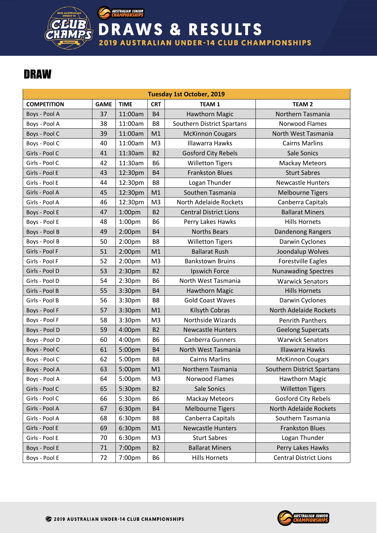

RAWS & RESULTS D **2019 AUSTRALIAN UNDER-14 CLUB CHAMPIONSHIPS** 

## DRAW

|                    |             |                    |                | <b>Tuesday 1st October, 2019</b> |                               |
|--------------------|-------------|--------------------|----------------|----------------------------------|-------------------------------|
| <b>COMPETITION</b> | <b>GAME</b> | <b>TIME</b>        | <b>CRT</b>     | TEAM <sub>1</sub>                | <b>TEAM 2</b>                 |
| Boys - Pool A      | 37          | 11:00am            | <b>B4</b>      | Hawthorn Magic                   | Northern Tasmania             |
| Boys - Pool A      | 38          | 11:00am            | B <sub>8</sub> | Southern District Spartans       | Norwood Flames                |
| Boys - Pool C      | 39          | 11:00am            | M1             | <b>McKinnon Cougars</b>          | North West Tasmania           |
| Boys - Pool C      | 40          | 11:00am            | M <sub>3</sub> | Illawarra Hawks                  | <b>Cairns Marlins</b>         |
| Girls - Pool C     | 41          | 11:30am            | <b>B2</b>      | <b>Gosford City Rebels</b>       | Sale Sonics                   |
| Girls - Pool C     | 42          | 11:30am            | <b>B6</b>      | <b>Willetton Tigers</b>          | <b>Mackay Meteors</b>         |
| Girls - Pool E     | 43          | 12:30pm            | <b>B4</b>      | <b>Frankston Blues</b>           | <b>Sturt Sabres</b>           |
| Girls - Pool E     | 44          | 12:30pm            | B <sub>8</sub> | Logan Thunder                    | <b>Newcastle Hunters</b>      |
| Girls - Pool A     | 45          | 12:30pm            | M1             | Southen Tasmania                 | <b>Melbourne Tigers</b>       |
| Girls - Pool A     | 46          | 12:30pm            | M <sub>3</sub> | North Adelaide Rockets           | Canberra Capitals             |
| Boys - Pool E      | 47          | 1:00 <sub>pm</sub> | <b>B2</b>      | <b>Central District Lions</b>    | <b>Ballarat Miners</b>        |
| Boys - Pool E      | 48          | 1:00 <sub>pm</sub> | <b>B6</b>      | Perry Lakes Hawks                | <b>Hills Hornets</b>          |
| Boys - Pool B      | 49          | 2:00 <sub>pm</sub> | <b>B4</b>      | <b>Norths Bears</b>              | Dandenong Rangers             |
| Boys - Pool B      | 50          | 2:00 <sub>pm</sub> | B <sub>8</sub> | <b>Willetton Tigers</b>          | Darwin Cyclones               |
| Girls - Pool F     | 51          | 2:00 <sub>pm</sub> | M1             | <b>Ballarat Rush</b>             | Joondalup Wolves              |
| Girls - Pool F     | 52          | 2:00 <sub>pm</sub> | M <sub>3</sub> | <b>Bankstown Bruins</b>          | <b>Forestville Eagles</b>     |
| Girls - Pool D     | 53          | 2:30 <sub>pm</sub> | <b>B2</b>      | Ipswich Force                    | <b>Nunawading Spectres</b>    |
| Girls - Pool D     | 54          | 2:30 <sub>pm</sub> | <b>B6</b>      | North West Tasmania              | <b>Warwick Senators</b>       |
| Girls - Pool B     | 55          | 3:30pm             | <b>B4</b>      | <b>Hawthorn Magic</b>            | <b>Hills Hornets</b>          |
| Girls - Pool B     | 56          | 3:30pm             | B <sub>8</sub> | <b>Gold Coast Waves</b>          | Darwin Cyclones               |
| Boys - Pool F      | 57          | 3:30pm             | M1             | Kilsyth Cobras                   | North Adelaide Rockets        |
| Boys - Pool F      | 58          | 3:30pm             | M <sub>3</sub> | <b>Northside Wizards</b>         | <b>Penrith Panthers</b>       |
| Boys - Pool D      | 59          | 4:00pm             | <b>B2</b>      | <b>Newcastle Hunters</b>         | <b>Geelong Supercats</b>      |
| Boys - Pool D      | 60          | 4:00pm             | <b>B6</b>      | <b>Canberra Gunners</b>          | <b>Warwick Senators</b>       |
| Boys - Pool C      | 61          | 5:00pm             | <b>B4</b>      | North West Tasmania              | <b>Illawarra Hawks</b>        |
| Boys - Pool C      | 62          | 5:00pm             | B <sub>8</sub> | <b>Cairns Marlins</b>            | <b>McKinnon Cougars</b>       |
| Boys - Pool A      | 63          | 5:00pm             | M1             | Northern Tasmania                | Southern District Spartans    |
| Boys - Pool A      | 64          | 5:00pm             | M <sub>3</sub> | Norwood Flames                   | Hawthorn Magic                |
| Girls - Pool C     | 65          | 5:30pm             | <b>B2</b>      | Sale Sonics                      | <b>Willetton Tigers</b>       |
| Girls - Pool C     | 66          | 5:30pm             | <b>B6</b>      | <b>Mackay Meteors</b>            | Gosford City Rebels           |
| Girls - Pool A     | 67          | 6:30pm             | <b>B4</b>      | <b>Melbourne Tigers</b>          | North Adelaide Rockets        |
| Girls - Pool A     | 68          | 6:30pm             | B8             | Canberra Capitals                | Southern Tasmania             |
| Girls - Pool E     | 69          | 6:30pm             | M1             | <b>Newcastle Hunters</b>         | <b>Frankston Blues</b>        |
| Girls - Pool E     | 70          | 6:30pm             | M <sub>3</sub> | <b>Sturt Sabres</b>              | Logan Thunder                 |
| Boys - Pool E      | 71          | 7:00pm             | <b>B2</b>      | <b>Ballarat Miners</b>           | Perry Lakes Hawks             |
| Boys - Pool E      | 72          | 7:00pm             | <b>B6</b>      | <b>Hills Hornets</b>             | <b>Central District Lions</b> |

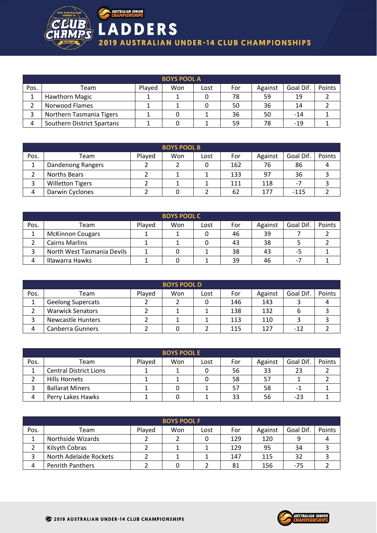

|      | <b>BOYS POOL A</b>         |        |     |      |     |         |           |        |  |  |  |  |
|------|----------------------------|--------|-----|------|-----|---------|-----------|--------|--|--|--|--|
| Pos. | Team                       | Played | Won | Lost | For | Against | Goal Dif. | Points |  |  |  |  |
|      | Hawthorn Magic             |        |     |      | 78  | 59      | 19        |        |  |  |  |  |
|      | Norwood Flames             |        |     |      | 50  | 36      | 14        |        |  |  |  |  |
|      | Northern Tasmania Tigers   |        |     |      | 36  | 50      | $-14$     |        |  |  |  |  |
| 4    | Southern District Spartans |        |     |      | 59  | 78      | $-19$     |        |  |  |  |  |

|      | <b>BOYS POOL B</b>      |        |     |      |     |         |           |        |  |  |  |
|------|-------------------------|--------|-----|------|-----|---------|-----------|--------|--|--|--|
| Pos. | Team                    | Played | Won | Lost | For | Against | Goal Dif. | Points |  |  |  |
|      | Dandenong Rangers       |        |     |      | 162 | 76      | 86        |        |  |  |  |
|      | Norths Bears            |        |     |      | 133 | 97      | 36        |        |  |  |  |
|      | <b>Willetton Tigers</b> |        |     |      | 111 | 118     | -7        |        |  |  |  |
| 4    | Darwin Cyclones         |        | υ   |      | 62  | 177     | $-115$    |        |  |  |  |

|      | <b>BOYS POOL C</b>         |        |     |      |     |         |           |        |  |  |  |  |
|------|----------------------------|--------|-----|------|-----|---------|-----------|--------|--|--|--|--|
| Pos. | Team                       | Plaved | Won | Lost | For | Against | Goal Dif. | Points |  |  |  |  |
|      | <b>McKinnon Cougars</b>    |        |     |      | 46  | 39      |           |        |  |  |  |  |
|      | <b>Cairns Marlins</b>      |        |     |      | 43  | 38      |           |        |  |  |  |  |
|      | North West Tasmania Devils |        |     |      | 38  | 43      | -5        |        |  |  |  |  |
|      | Illawarra Hawks            |        |     |      | 39  | 46      | ۰.        |        |  |  |  |  |

|      | <b>BOYS POOL D</b>       |        |     |      |     |         |           |        |  |  |  |
|------|--------------------------|--------|-----|------|-----|---------|-----------|--------|--|--|--|
| Pos. | Team                     | Plaved | Won | Lost | For | Against | Goal Dif. | Points |  |  |  |
|      | <b>Geelong Supercats</b> |        |     |      | 146 | 143     |           |        |  |  |  |
|      | <b>Warwick Senators</b>  |        |     |      | 138 | 132     |           |        |  |  |  |
|      | <b>Newcastle Hunters</b> |        |     |      | 113 | 110     |           |        |  |  |  |
|      | Canberra Gunners         |        |     |      | 115 | 127     | $-17$     |        |  |  |  |

|      | <b>BOYS POOL E</b>            |        |     |      |     |         |           |        |  |  |  |
|------|-------------------------------|--------|-----|------|-----|---------|-----------|--------|--|--|--|
| Pos. | Team                          | Played | Won | Lost | For | Against | Goal Dif. | Points |  |  |  |
|      | <b>Central District Lions</b> |        |     |      | 56  | 33      | 23        |        |  |  |  |
|      | Hills Hornets                 |        |     |      | 58  | 57      |           |        |  |  |  |
|      | <b>Ballarat Miners</b>        |        |     |      | 57  | 58      | -         |        |  |  |  |
| 4    | Perry Lakes Hawks             |        |     |      | 33  | 56      | $-23$     |        |  |  |  |

|      | <b>BOYS POOL F</b>      |        |     |      |     |         |           |        |  |  |  |  |
|------|-------------------------|--------|-----|------|-----|---------|-----------|--------|--|--|--|--|
| Pos. | Team                    | Played | Won | Lost | For | Against | Goal Dif. | Points |  |  |  |  |
|      | Northside Wizards       |        |     |      | 129 | 120     |           |        |  |  |  |  |
|      | Kilsyth Cobras          |        |     |      | 129 | 95      | 34        |        |  |  |  |  |
|      | North Adelaide Rockets  |        |     |      | 147 | 115     | 32        |        |  |  |  |  |
|      | <b>Penrith Panthers</b> |        |     |      | 81  | 156     | $-75$     |        |  |  |  |  |

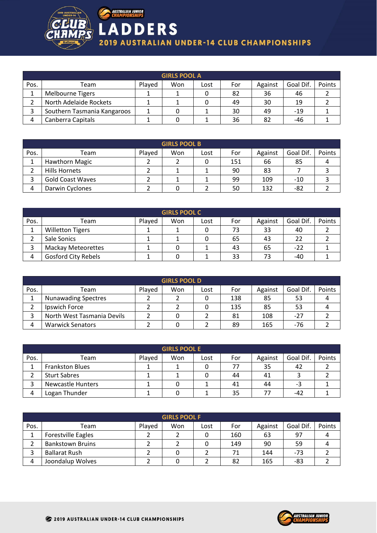

|      | <b>GIRLS POOL A</b>         |        |     |      |     |         |           |        |  |  |  |  |
|------|-----------------------------|--------|-----|------|-----|---------|-----------|--------|--|--|--|--|
| Pos. | Team                        | Played | Won | Lost | For | Against | Goal Dif. | Points |  |  |  |  |
|      | Melbourne Tigers            |        |     |      | 82  | 36      | 46        |        |  |  |  |  |
|      | North Adelaide Rockets      |        |     |      | 49  | 30      | 19        |        |  |  |  |  |
|      | Southern Tasmania Kangaroos |        |     |      | 30  | 49      | $-19$     |        |  |  |  |  |
|      | Canberra Capitals           |        |     |      | 36  | 82      | -46       |        |  |  |  |  |

|      | <b>GIRLS POOL B</b>     |        |     |      |     |         |           |        |  |  |  |
|------|-------------------------|--------|-----|------|-----|---------|-----------|--------|--|--|--|
| Pos. | Team                    | Played | Won | Lost | For | Against | Goal Dif. | Points |  |  |  |
|      | Hawthorn Magic          |        |     |      | 151 | 66      | 85        |        |  |  |  |
|      | Hills Hornets           |        |     |      | 90  | 83      |           |        |  |  |  |
|      | <b>Gold Coast Waves</b> |        |     |      | 99  | 109     | $-10$     |        |  |  |  |
| 4    | Darwin Cyclones         |        |     |      | 50  | 132     | -82       |        |  |  |  |

|      | <b>GIRLS POOL C</b>        |        |     |      |     |         |           |        |  |  |  |  |
|------|----------------------------|--------|-----|------|-----|---------|-----------|--------|--|--|--|--|
| Pos. | Team                       | Played | Won | Lost | For | Against | Goal Dif. | Points |  |  |  |  |
|      | <b>Willetton Tigers</b>    |        |     |      | 73  | 33      | 40        |        |  |  |  |  |
|      | Sale Sonics                |        |     |      | 65  | 43      |           |        |  |  |  |  |
|      | <b>Mackay Meteorettes</b>  |        |     |      | 43  | 65      | -22       |        |  |  |  |  |
| Δ    | <b>Gosford City Rebels</b> |        |     |      | 33  |         | -40       |        |  |  |  |  |

|      | <b>GIRLS POOL D</b>        |        |     |      |     |         |           |        |  |  |  |  |
|------|----------------------------|--------|-----|------|-----|---------|-----------|--------|--|--|--|--|
| Pos. | Team                       | Plaved | Won | LOSt | For | Against | Goal Dif. | Points |  |  |  |  |
|      | <b>Nunawading Spectres</b> |        |     |      | 138 | 85      | 53        |        |  |  |  |  |
|      | Ipswich Force              |        |     |      | 135 | 85      | 53        |        |  |  |  |  |
|      | North West Tasmania Devils |        |     |      | 81  | 108     | $-27$     |        |  |  |  |  |
| 4    | <b>Warwick Senators</b>    |        |     |      | 89  | 165     | -76       |        |  |  |  |  |

| <b>GIRLS POOL E</b> |                          |        |     |      |     |         |           |        |
|---------------------|--------------------------|--------|-----|------|-----|---------|-----------|--------|
| Pos.                | Team                     | Played | Won | Lost | For | Against | Goal Dif. | Points |
|                     | <b>Frankston Blues</b>   |        |     |      | 77  | 35      | 42        |        |
|                     | <b>Sturt Sabres</b>      |        |     |      | 44  | 41      |           |        |
| っ                   | <b>Newcastle Hunters</b> |        |     |      | 41  | 44      | -3        |        |
| 4                   | Logan Thunder            |        |     |      | 35  | 77      | -42       |        |

| <b>GIRLS POOL F</b> |                           |        |     |      |     |         |           |        |
|---------------------|---------------------------|--------|-----|------|-----|---------|-----------|--------|
| Pos.                | Team                      | Played | Won | Lost | For | Against | Goal Dif. | Points |
|                     | <b>Forestville Eagles</b> |        |     |      | 160 | 63      | 97        |        |
|                     | <b>Bankstown Bruins</b>   |        |     |      | 149 | 90      | 59        |        |
|                     | <b>Ballarat Rush</b>      |        |     |      | 71  | 144     | $-73$     |        |
|                     | Joondalup Wolves          |        |     |      | 82  | 165     | -83       |        |